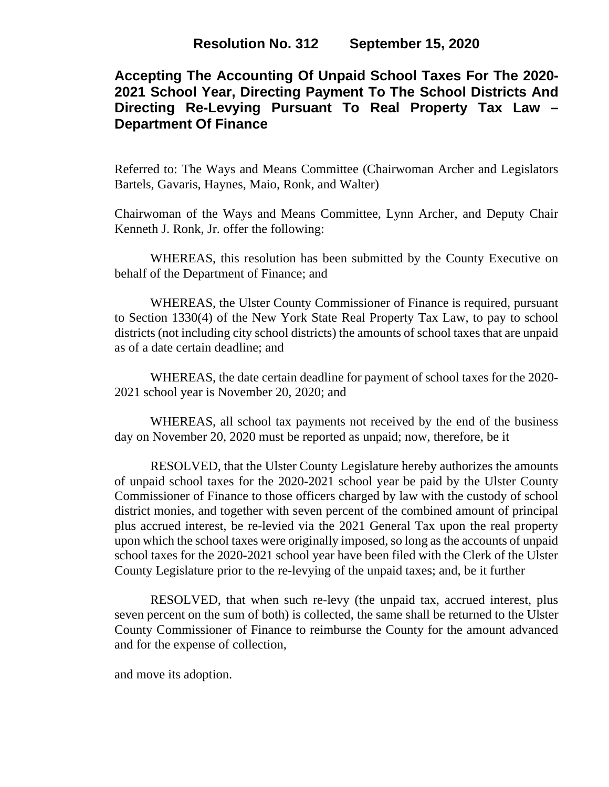# **Accepting The Accounting Of Unpaid School Taxes For The 2020- 2021 School Year, Directing Payment To The School Districts And Directing Re-Levying Pursuant To Real Property Tax Law – Department Of Finance**

Referred to: The Ways and Means Committee (Chairwoman Archer and Legislators Bartels, Gavaris, Haynes, Maio, Ronk, and Walter)

Chairwoman of the Ways and Means Committee, Lynn Archer, and Deputy Chair Kenneth J. Ronk, Jr. offer the following:

 WHEREAS, this resolution has been submitted by the County Executive on behalf of the Department of Finance; and

WHEREAS, the Ulster County Commissioner of Finance is required, pursuant to Section 1330(4) of the New York State Real Property Tax Law, to pay to school districts (not including city school districts) the amounts of school taxes that are unpaid as of a date certain deadline; and

WHEREAS, the date certain deadline for payment of school taxes for the 2020- 2021 school year is November 20, 2020; and

WHEREAS, all school tax payments not received by the end of the business day on November 20, 2020 must be reported as unpaid; now, therefore, be it

RESOLVED, that the Ulster County Legislature hereby authorizes the amounts of unpaid school taxes for the 2020-2021 school year be paid by the Ulster County Commissioner of Finance to those officers charged by law with the custody of school district monies, and together with seven percent of the combined amount of principal plus accrued interest, be re-levied via the 2021 General Tax upon the real property upon which the school taxes were originally imposed, so long as the accounts of unpaid school taxes for the 2020-2021 school year have been filed with the Clerk of the Ulster County Legislature prior to the re-levying of the unpaid taxes; and, be it further

RESOLVED, that when such re-levy (the unpaid tax, accrued interest, plus seven percent on the sum of both) is collected, the same shall be returned to the Ulster County Commissioner of Finance to reimburse the County for the amount advanced and for the expense of collection,

and move its adoption.